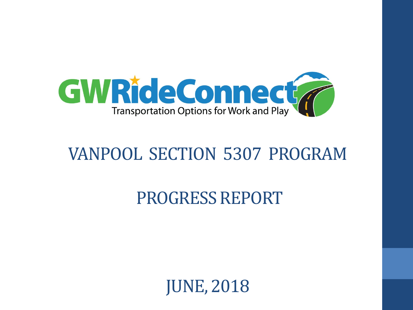

## VANPOOL SECTION 5307 PROGRAM

### PROGRESS REPORT

JUNE, 2018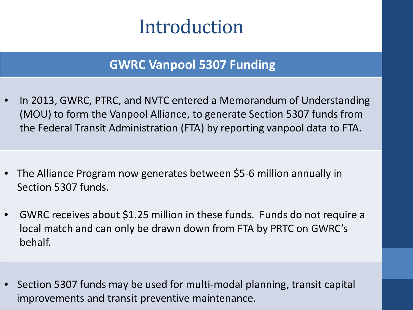# Introduction

#### **GWRC Vanpool 5307 Funding**

• In 2013, GWRC, PTRC, and NVTC entered a Memorandum of Understanding (MOU) to form the Vanpool Alliance, to generate Section 5307 funds from the Federal Transit Administration (FTA) by reporting vanpool data to FTA.

- The Alliance Program now generates between \$5-6 million annually in Section 5307 funds.
- GWRC receives about \$1.25 million in these funds. Funds do not require a local match and can only be drawn down from FTA by PRTC on GWRC's behalf.
- Section 5307 funds may be used for multi-modal planning, transit capital improvements and transit preventive maintenance.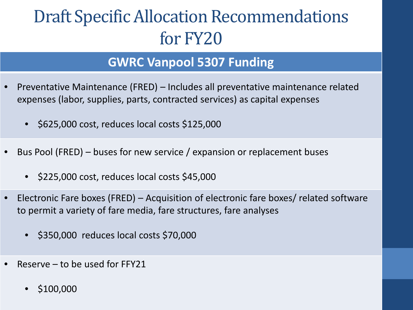## Draft Specific Allocation Recommendations for FY20

#### **GWRC Vanpool 5307 Funding**

- Preventative Maintenance (FRED) Includes all preventative maintenance related expenses (labor, supplies, parts, contracted services) as capital expenses
	- \$625,000 cost, reduces local costs \$125,000
- Bus Pool (FRED) buses for new service / expansion or replacement buses
	- \$225,000 cost, reduces local costs \$45,000
- Electronic Fare boxes (FRED) Acquisition of electronic fare boxes/ related software to permit a variety of fare media, fare structures, fare analyses
	- \$350,000 reduces local costs \$70,000
- Reserve  $-$  to be used for FFY21
	- \$100,000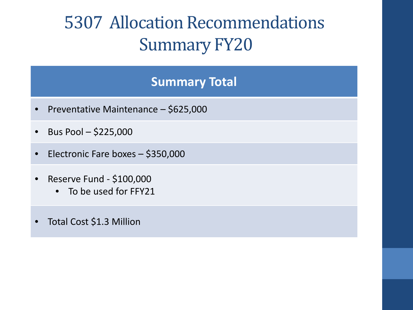# 5307 Allocation Recommendations Summary FY20

#### **Summary Total**

- Preventative Maintenance \$625,000
- $\bullet$  Bus Pool \$225,000
- Electronic Fare boxes \$350,000
- Reserve Fund \$100,000
	- To be used for FFY21
- Total Cost \$1.3 Million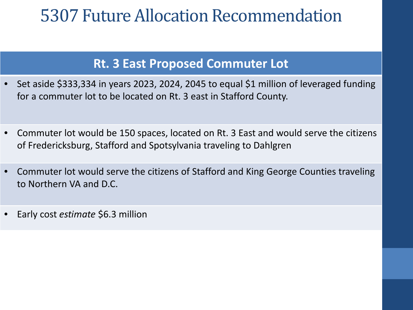### 5307 Future Allocation Recommendation

#### **Rt. 3 East Proposed Commuter Lot**

- Set aside \$333,334 in years 2023, 2024, 2045 to equal \$1 million of leveraged funding for a commuter lot to be located on Rt. 3 east in Stafford County.
- Commuter lot would be 150 spaces, located on Rt. 3 East and would serve the citizens of Fredericksburg, Stafford and Spotsylvania traveling to Dahlgren
- Commuter lot would serve the citizens of Stafford and King George Counties traveling to Northern VA and D.C.
- Early cost *estimate* \$6.3 million